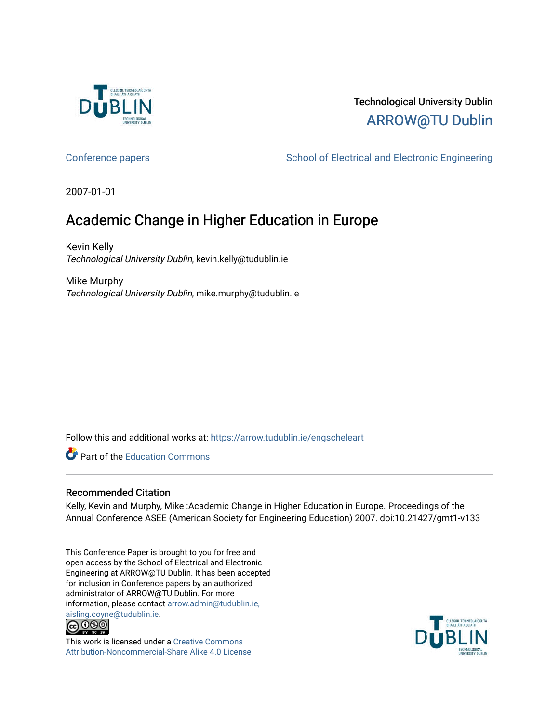

# Technological University Dublin [ARROW@TU Dublin](https://arrow.tudublin.ie/)

[Conference papers](https://arrow.tudublin.ie/engscheleart) **School of Electrical and Electronic Engineering** 

2007-01-01

# Academic Change in Higher Education in Europe

Kevin Kelly Technological University Dublin, kevin.kelly@tudublin.ie

Mike Murphy Technological University Dublin, mike.murphy@tudublin.ie

Follow this and additional works at: [https://arrow.tudublin.ie/engscheleart](https://arrow.tudublin.ie/engscheleart?utm_source=arrow.tudublin.ie%2Fengscheleart%2F118&utm_medium=PDF&utm_campaign=PDFCoverPages) 

**Part of the [Education Commons](http://network.bepress.com/hgg/discipline/784?utm_source=arrow.tudublin.ie%2Fengscheleart%2F118&utm_medium=PDF&utm_campaign=PDFCoverPages)** 

### Recommended Citation

Kelly, Kevin and Murphy, Mike :Academic Change in Higher Education in Europe. Proceedings of the Annual Conference ASEE (American Society for Engineering Education) 2007. doi:10.21427/gmt1-v133

This Conference Paper is brought to you for free and open access by the School of Electrical and Electronic Engineering at ARROW@TU Dublin. It has been accepted for inclusion in Conference papers by an authorized administrator of ARROW@TU Dublin. For more information, please contact [arrow.admin@tudublin.ie,](mailto:arrow.admin@tudublin.ie,%20aisling.coyne@tudublin.ie)  [aisling.coyne@tudublin.ie.](mailto:arrow.admin@tudublin.ie,%20aisling.coyne@tudublin.ie)<br>© 090



This work is licensed under a [Creative Commons](http://creativecommons.org/licenses/by-nc-sa/4.0/) [Attribution-Noncommercial-Share Alike 4.0 License](http://creativecommons.org/licenses/by-nc-sa/4.0/)

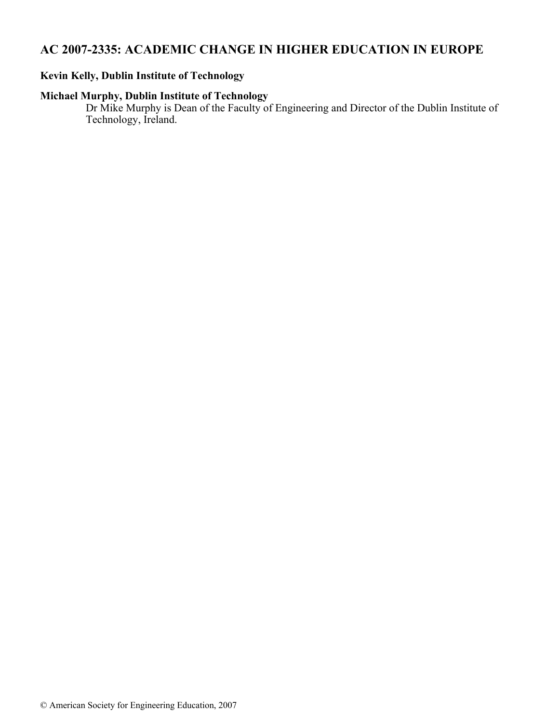## **AC 2007-2335: ACADEMIC CHANGE IN HIGHER EDUCATION IN EUROPE**

## **Kevin Kelly, Dublin Institute of Technology**

## **Michael Murphy, Dublin Institute of Technology**

Dr Mike Murphy is Dean of the Faculty of Engineering and Director of the Dublin Institute of Technology, Ireland.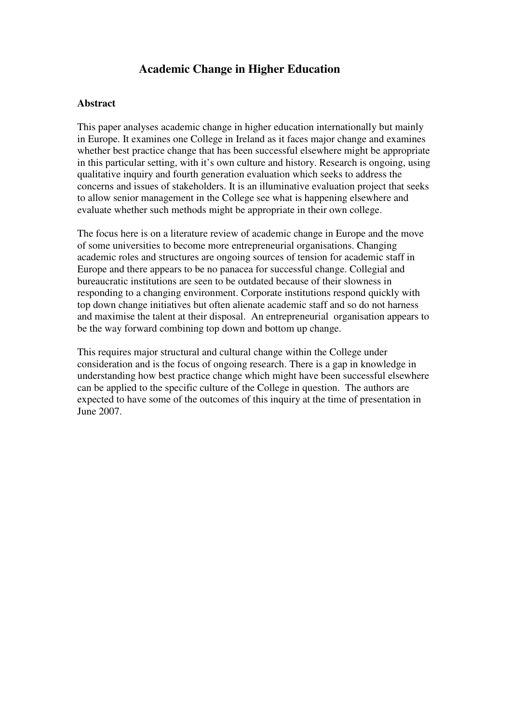## **Academic Change in Higher Education**

#### **Abstract**

This paper analyses academic change in higher education internationally but mainly in Europe. It examines one College in Ireland as it faces major change and examines whether best practice change that has been successful elsewhere might be appropriate in this particular setting, with it's own culture and history. Research is ongoing, using qualitative inquiry and fourth generation evaluation which seeks to address the concerns and issues of stakeholders. It is an illuminative evaluation project that seeks to allow senior management in the College see what is happening elsewhere and evaluate whether such methods might be appropriate in their own college.

The focus here is on a literature review of academic change in Europe and the move of some universities to become more entrepreneurial organisations. Changing academic roles and structures are ongoing sources of tension for academic staff in Europe and there appears to be no panacea for successful change. Collegial and bureaucratic institutions are seen to be outdated because of their slowness in responding to a changing environment. Corporate institutions respond quickly with top down change initiatives but often alienate academic staff and so do not harness and maximise the talent at their disposal. An entrepreneurial organisation appears to be the way forward combining top down and bottom up change.

This requires major structural and cultural change within the College under consideration and is the focus of ongoing research. There is a gap in knowledge in understanding how best practice change which might have been successful elsewhere can be applied to the specific culture of the College in question. The authors are expected to have some of the outcomes of this inquiry at the time of presentation in June 2007.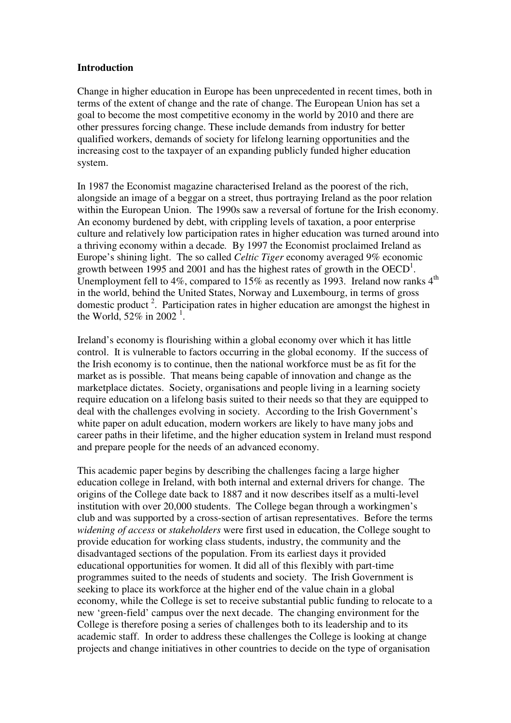### **Introduction**

Change in higher education in Europe has been unprecedented in recent times, both in terms of the extent of change and the rate of change. The European Union has set a goal to become the most competitive economy in the world by 2010 and there are other pressures forcing change. These include demands from industry for better qualified workers, demands of society for lifelong learning opportunities and the increasing cost to the taxpayer of an expanding publicly funded higher education system.

In 1987 the Economist magazine characterised Ireland as the poorest of the rich, alongside an image of a beggar on a street, thus portraying Ireland as the poor relation within the European Union. The 1990s saw a reversal of fortune for the Irish economy. An economy burdened by debt, with crippling levels of taxation, a poor enterprise culture and relatively low participation rates in higher education was turned around into a thriving economy within a decade*.* By 1997 the Economist proclaimed Ireland as Europe's shining light. The so called *Celtic Tiger* economy averaged 9% economic growth between 1995 and 2001 and has the highest rates of growth in the  $OECD<sup>1</sup>$ . Unemployment fell to 4%, compared to 15% as recently as 1993. Ireland now ranks  $4<sup>th</sup>$ in the world, behind the United States, Norway and Luxembourg, in terms of gross domestic product<sup>2</sup>. Participation rates in higher education are amongst the highest in the World, 52% in 2002<sup>1</sup>.

Ireland's economy is flourishing within a global economy over which it has little control. It is vulnerable to factors occurring in the global economy. If the success of the Irish economy is to continue, then the national workforce must be as fit for the market as is possible. That means being capable of innovation and change as the marketplace dictates. Society, organisations and people living in a learning society require education on a lifelong basis suited to their needs so that they are equipped to deal with the challenges evolving in society. According to the Irish Government's white paper on adult education, modern workers are likely to have many jobs and career paths in their lifetime, and the higher education system in Ireland must respond and prepare people for the needs of an advanced economy.

This academic paper begins by describing the challenges facing a large higher education college in Ireland, with both internal and external drivers for change. The origins of the College date back to 1887 and it now describes itself as a multi-level institution with over 20,000 students. The College began through a workingmen's club and was supported by a cross-section of artisan representatives. Before the terms *widening of access* or *stakeholders* were first used in education, the College sought to provide education for working class students, industry, the community and the disadvantaged sections of the population. From its earliest days it provided educational opportunities for women. It did all of this flexibly with part-time programmes suited to the needs of students and society.The Irish Government is seeking to place its workforce at the higher end of the value chain in a global economy, while the College is set to receive substantial public funding to relocate to a new 'green-field' campus over the next decade. The changing environment for the College is therefore posing a series of challenges both to its leadership and to its academic staff. In order to address these challenges the College is looking at change projects and change initiatives in other countries to decide on the type of organisation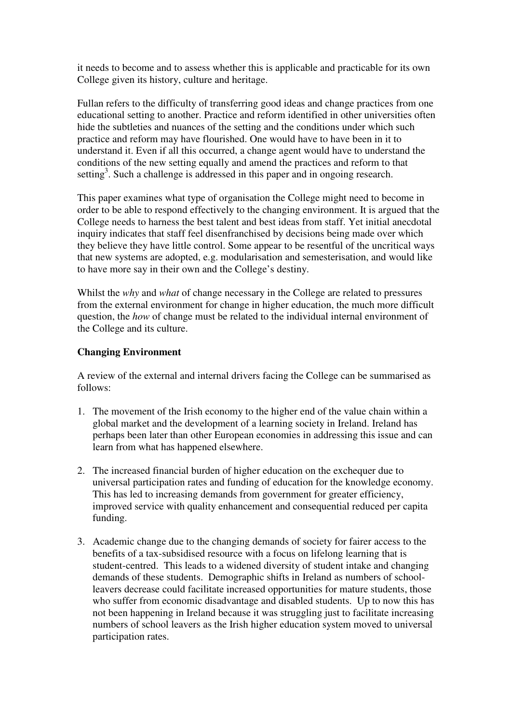it needs to become and to assess whether this is applicable and practicable for its own College given its history, culture and heritage.

Fullan refers to the difficulty of transferring good ideas and change practices from one educational setting to another. Practice and reform identified in other universities often hide the subtleties and nuances of the setting and the conditions under which such practice and reform may have flourished. One would have to have been in it to understand it. Even if all this occurred, a change agent would have to understand the conditions of the new setting equally and amend the practices and reform to that setting<sup>3</sup>. Such a challenge is addressed in this paper and in ongoing research.

This paper examines what type of organisation the College might need to become in order to be able to respond effectively to the changing environment. It is argued that the College needs to harness the best talent and best ideas from staff. Yet initial anecdotal inquiry indicates that staff feel disenfranchised by decisions being made over which they believe they have little control. Some appear to be resentful of the uncritical ways that new systems are adopted, e.g. modularisation and semesterisation, and would like to have more say in their own and the College's destiny.

Whilst the *why* and *what* of change necessary in the College are related to pressures from the external environment for change in higher education, the much more difficult question, the *how* of change must be related to the individual internal environment of the College and its culture.

## **Changing Environment**

A review of the external and internal drivers facing the College can be summarised as follows:

- 1. The movement of the Irish economy to the higher end of the value chain within a global market and the development of a learning society in Ireland. Ireland has perhaps been later than other European economies in addressing this issue and can learn from what has happened elsewhere.
- 2. The increased financial burden of higher education on the exchequer due to universal participation rates and funding of education for the knowledge economy. This has led to increasing demands from government for greater efficiency, improved service with quality enhancement and consequential reduced per capita funding.
- 3. Academic change due to the changing demands of society for fairer access to the benefits of a tax-subsidised resource with a focus on lifelong learning that is student-centred. This leads to a widened diversity of student intake and changing demands of these students. Demographic shifts in Ireland as numbers of schoolleavers decrease could facilitate increased opportunities for mature students, those who suffer from economic disadvantage and disabled students. Up to now this has not been happening in Ireland because it was struggling just to facilitate increasing numbers of school leavers as the Irish higher education system moved to universal participation rates.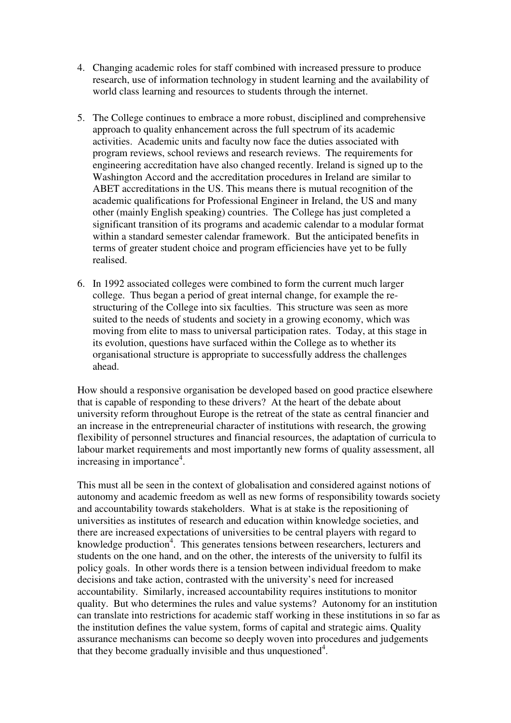- 4. Changing academic roles for staff combined with increased pressure to produce research, use of information technology in student learning and the availability of world class learning and resources to students through the internet.
- 5. The College continues to embrace a more robust, disciplined and comprehensive approach to quality enhancement across the full spectrum of its academic activities. Academic units and faculty now face the duties associated with program reviews, school reviews and research reviews. The requirements for engineering accreditation have also changed recently. Ireland is signed up to the Washington Accord and the accreditation procedures in Ireland are similar to ABET accreditations in the US. This means there is mutual recognition of the academic qualifications for Professional Engineer in Ireland, the US and many other (mainly English speaking) countries. The College has just completed a significant transition of its programs and academic calendar to a modular format within a standard semester calendar framework. But the anticipated benefits in terms of greater student choice and program efficiencies have yet to be fully realised.
- 6. In 1992 associated colleges were combined to form the current much larger college. Thus began a period of great internal change, for example the restructuring of the College into six faculties. This structure was seen as more suited to the needs of students and society in a growing economy, which was moving from elite to mass to universal participation rates. Today, at this stage in its evolution, questions have surfaced within the College as to whether its organisational structure is appropriate to successfully address the challenges ahead.

How should a responsive organisation be developed based on good practice elsewhere that is capable of responding to these drivers? At the heart of the debate about university reform throughout Europe is the retreat of the state as central financier and an increase in the entrepreneurial character of institutions with research, the growing flexibility of personnel structures and financial resources, the adaptation of curricula to labour market requirements and most importantly new forms of quality assessment, all increasing in importance<sup>4</sup>.

This must all be seen in the context of globalisation and considered against notions of autonomy and academic freedom as well as new forms of responsibility towards society and accountability towards stakeholders. What is at stake is the repositioning of universities as institutes of research and education within knowledge societies, and there are increased expectations of universities to be central players with regard to knowledge production<sup>4</sup>. This generates tensions between researchers, lecturers and students on the one hand, and on the other, the interests of the university to fulfil its policy goals. In other words there is a tension between individual freedom to make decisions and take action, contrasted with the university's need for increased accountability. Similarly, increased accountability requires institutions to monitor quality. But who determines the rules and value systems? Autonomy for an institution can translate into restrictions for academic staff working in these institutions in so far as the institution defines the value system, forms of capital and strategic aims. Quality assurance mechanisms can become so deeply woven into procedures and judgements that they become gradually invisible and thus unquestioned<sup>4</sup>.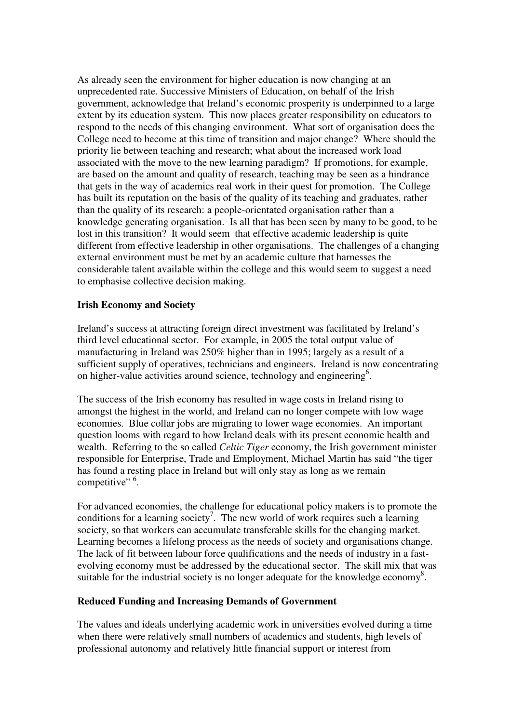As already seen the environment for higher education is now changing at an unprecedented rate. Successive Ministers of Education, on behalf of the Irish government, acknowledge that Ireland's economic prosperity is underpinned to a large extent by its education system. This now places greater responsibility on educators to respond to the needs of this changing environment. What sort of organisation does the College need to become at this time of transition and major change? Where should the priority lie between teaching and research; what about the increased work load associated with the move to the new learning paradigm? If promotions, for example, are based on the amount and quality of research, teaching may be seen as a hindrance that gets in the way of academics real work in their quest for promotion. The College has built its reputation on the basis of the quality of its teaching and graduates, rather than the quality of its research: a people-orientated organisation rather than a knowledge generating organisation. Is all that has been seen by many to be good, to be lost in this transition? It would seem that effective academic leadership is quite different from effective leadership in other organisations. The challenges of a changing external environment must be met by an academic culture that harnesses the considerable talent available within the college and this would seem to suggest a need to emphasise collective decision making.

### **Irish Economy and Society**

Ireland's success at attracting foreign direct investment was facilitated by Ireland's third level educational sector. For example, in 2005 the total output value of manufacturing in Ireland was 250% higher than in 1995; largely as a result of a sufficient supply of operatives, technicians and engineers. Ireland is now concentrating on higher-value activities around science, technology and engineering<sup>6</sup>.

The success of the Irish economy has resulted in wage costs in Ireland rising to amongst the highest in the world, and Ireland can no longer compete with low wage economies. Blue collar jobs are migrating to lower wage economies. An important question looms with regard to how Ireland deals with its present economic health and wealth. Referring to the so called *Celtic Tiger* economy, the Irish government minister responsible for Enterprise, Trade and Employment, Michael Martin has said "the tiger has found a resting place in Ireland but will only stay as long as we remain competitive"  $6$ .

For advanced economies, the challenge for educational policy makers is to promote the conditions for a learning society<sup>7</sup>. The new world of work requires such a learning society, so that workers can accumulate transferable skills for the changing market. Learning becomes a lifelong process as the needs of society and organisations change. The lack of fit between labour force qualifications and the needs of industry in a fastevolving economy must be addressed by the educational sector. The skill mix that was suitable for the industrial society is no longer adequate for the knowledge economy<sup>8</sup>.

## **Reduced Funding and Increasing Demands of Government**

The values and ideals underlying academic work in universities evolved during a time when there were relatively small numbers of academics and students, high levels of professional autonomy and relatively little financial support or interest from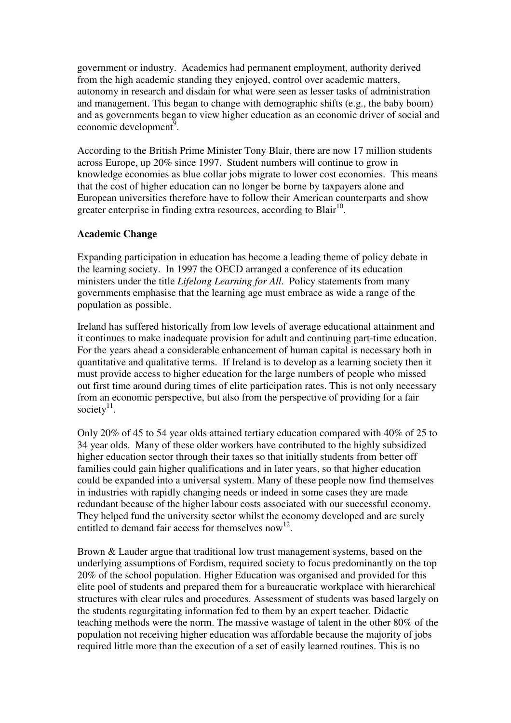government or industry. Academics had permanent employment, authority derived from the high academic standing they enjoyed, control over academic matters, autonomy in research and disdain for what were seen as lesser tasks of administration and management. This began to change with demographic shifts (e.g., the baby boom) and as governments began to view higher education as an economic driver of social and economic development<sup>9</sup>.

According to the British Prime Minister Tony Blair, there are now 17 million students across Europe, up 20% since 1997. Student numbers will continue to grow in knowledge economies as blue collar jobs migrate to lower cost economies. This means that the cost of higher education can no longer be borne by taxpayers alone and European universities therefore have to follow their American counterparts and show greater enterprise in finding extra resources, according to Blair<sup>10</sup>.

## **Academic Change**

Expanding participation in education has become a leading theme of policy debate in the learning society. In 1997 the OECD arranged a conference of its education ministers under the title *Lifelong Learning for All*. Policy statements from many governments emphasise that the learning age must embrace as wide a range of the population as possible.

Ireland has suffered historically from low levels of average educational attainment and it continues to make inadequate provision for adult and continuing part-time education. For the years ahead a considerable enhancement of human capital is necessary both in quantitative and qualitative terms. If Ireland is to develop as a learning society then it must provide access to higher education for the large numbers of people who missed out first time around during times of elite participation rates. This is not only necessary from an economic perspective, but also from the perspective of providing for a fair society $11$ .

Only 20% of 45 to 54 year olds attained tertiary education compared with 40% of 25 to 34 year olds. Many of these older workers have contributed to the highly subsidized higher education sector through their taxes so that initially students from better off families could gain higher qualifications and in later years, so that higher education could be expanded into a universal system. Many of these people now find themselves in industries with rapidly changing needs or indeed in some cases they are made redundant because of the higher labour costs associated with our successful economy. They helped fund the university sector whilst the economy developed and are surely entitled to demand fair access for themselves now<sup>12</sup>.

Brown & Lauder argue that traditional low trust management systems, based on the underlying assumptions of Fordism, required society to focus predominantly on the top 20% of the school population. Higher Education was organised and provided for this elite pool of students and prepared them for a bureaucratic workplace with hierarchical structures with clear rules and procedures. Assessment of students was based largely on the students regurgitating information fed to them by an expert teacher. Didactic teaching methods were the norm. The massive wastage of talent in the other 80% of the population not receiving higher education was affordable because the majority of jobs required little more than the execution of a set of easily learned routines. This is no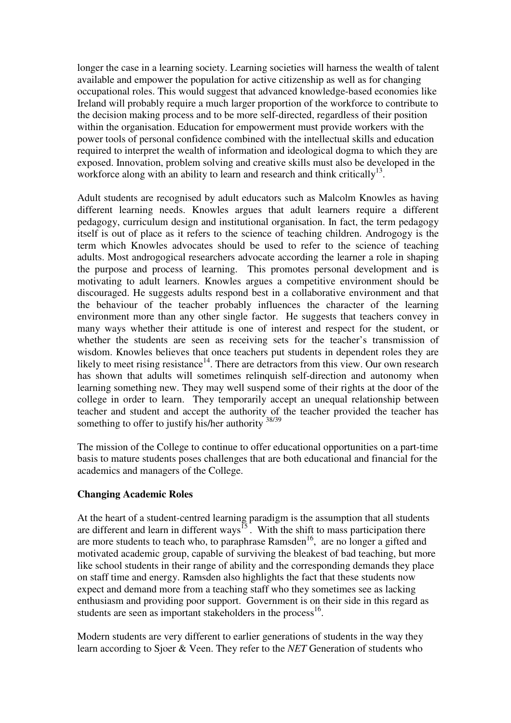longer the case in a learning society. Learning societies will harness the wealth of talent available and empower the population for active citizenship as well as for changing occupational roles. This would suggest that advanced knowledge-based economies like Ireland will probably require a much larger proportion of the workforce to contribute to the decision making process and to be more self-directed, regardless of their position within the organisation. Education for empowerment must provide workers with the power tools of personal confidence combined with the intellectual skills and education required to interpret the wealth of information and ideological dogma to which they are exposed. Innovation, problem solving and creative skills must also be developed in the workforce along with an ability to learn and research and think critically $13$ .

Adult students are recognised by adult educators such as Malcolm Knowles as having different learning needs. Knowles argues that adult learners require a different pedagogy, curriculum design and institutional organisation. In fact, the term pedagogy itself is out of place as it refers to the science of teaching children. Androgogy is the term which Knowles advocates should be used to refer to the science of teaching adults. Most androgogical researchers advocate according the learner a role in shaping the purpose and process of learning. This promotes personal development and is motivating to adult learners. Knowles argues a competitive environment should be discouraged. He suggests adults respond best in a collaborative environment and that the behaviour of the teacher probably influences the character of the learning environment more than any other single factor. He suggests that teachers convey in many ways whether their attitude is one of interest and respect for the student, or whether the students are seen as receiving sets for the teacher's transmission of wisdom. Knowles believes that once teachers put students in dependent roles they are likely to meet rising resistance<sup>14</sup>. There are detractors from this view. Our own research has shown that adults will sometimes relinquish self-direction and autonomy when learning something new. They may well suspend some of their rights at the door of the college in order to learn. They temporarily accept an unequal relationship between teacher and student and accept the authority of the teacher provided the teacher has something to offer to justify his/her authority  $\frac{38}{38/39}$ 

The mission of the College to continue to offer educational opportunities on a part-time basis to mature students poses challenges that are both educational and financial for the academics and managers of the College.

## **Changing Academic Roles**

At the heart of a student-centred learning paradigm is the assumption that all students are different and learn in different ways<sup>15</sup>. With the shift to mass participation there are more students to teach who, to paraphrase  $Ramsden<sup>16</sup>$ , are no longer a gifted and motivated academic group, capable of surviving the bleakest of bad teaching, but more like school students in their range of ability and the corresponding demands they place on staff time and energy. Ramsden also highlights the fact that these students now expect and demand more from a teaching staff who they sometimes see as lacking enthusiasm and providing poor support. Government is on their side in this regard as students are seen as important stakeholders in the process $^{16}$ .

Modern students are very different to earlier generations of students in the way they learn according to Sjoer & Veen. They refer to the *NET* Generation of students who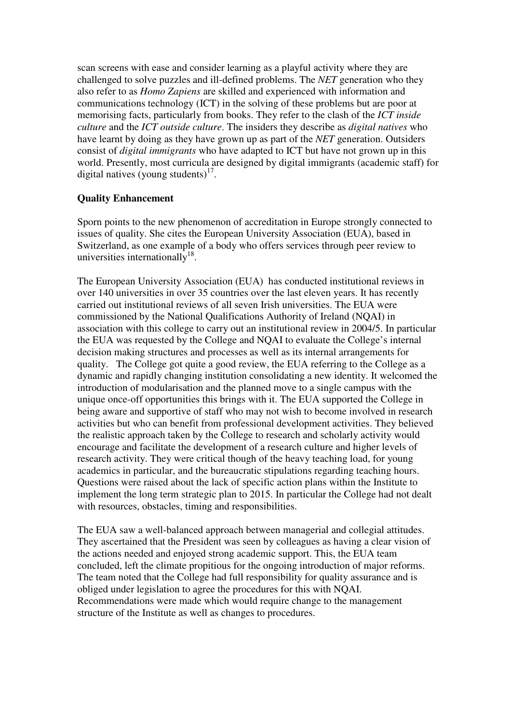scan screens with ease and consider learning as a playful activity where they are challenged to solve puzzles and ill-defined problems. The *NET* generation who they also refer to as *Homo Zapiens* are skilled and experienced with information and communications technology (ICT) in the solving of these problems but are poor at memorising facts, particularly from books. They refer to the clash of the *ICT inside culture* and the *ICT outside culture*. The insiders they describe as *digital natives* who have learnt by doing as they have grown up as part of the *NET* generation. Outsiders consist of *digital immigrants* who have adapted to ICT but have not grown up in this world. Presently, most curricula are designed by digital immigrants (academic staff) for digital natives (young students) $17$ .

## **Quality Enhancement**

Sporn points to the new phenomenon of accreditation in Europe strongly connected to issues of quality. She cites the European University Association (EUA), based in Switzerland, as one example of a body who offers services through peer review to universities internationally<sup>18</sup>.

The European University Association (EUA) has conducted institutional reviews in over 140 universities in over 35 countries over the last eleven years. It has recently carried out institutional reviews of all seven Irish universities. The EUA were commissioned by the National Qualifications Authority of Ireland (NQAI) in association with this college to carry out an institutional review in 2004/5. In particular the EUA was requested by the College and NQAI to evaluate the College's internal decision making structures and processes as well as its internal arrangements for quality. The College got quite a good review, the EUA referring to the College as a dynamic and rapidly changing institution consolidating a new identity. It welcomed the introduction of modularisation and the planned move to a single campus with the unique once-off opportunities this brings with it. The EUA supported the College in being aware and supportive of staff who may not wish to become involved in research activities but who can benefit from professional development activities. They believed the realistic approach taken by the College to research and scholarly activity would encourage and facilitate the development of a research culture and higher levels of research activity. They were critical though of the heavy teaching load, for young academics in particular, and the bureaucratic stipulations regarding teaching hours. Questions were raised about the lack of specific action plans within the Institute to implement the long term strategic plan to 2015. In particular the College had not dealt with resources, obstacles, timing and responsibilities.

The EUA saw a well-balanced approach between managerial and collegial attitudes. They ascertained that the President was seen by colleagues as having a clear vision of the actions needed and enjoyed strong academic support. This, the EUA team concluded, left the climate propitious for the ongoing introduction of major reforms. The team noted that the College had full responsibility for quality assurance and is obliged under legislation to agree the procedures for this with NQAI. Recommendations were made which would require change to the management structure of the Institute as well as changes to procedures.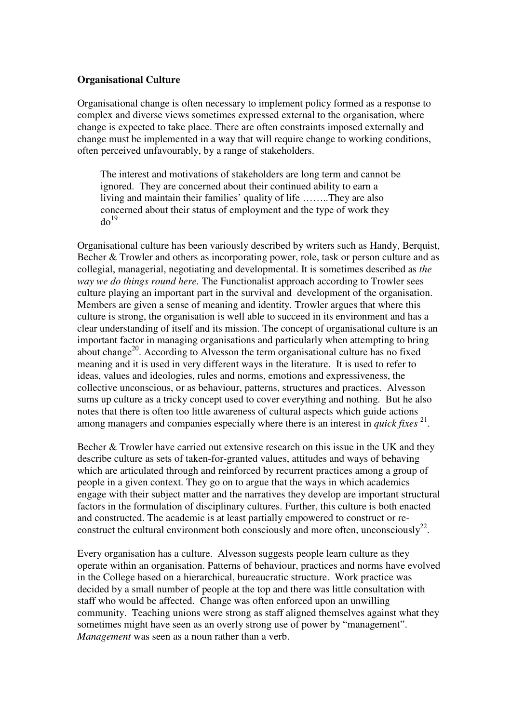#### **Organisational Culture**

Organisational change is often necessary to implement policy formed as a response to complex and diverse views sometimes expressed external to the organisation, where change is expected to take place. There are often constraints imposed externally and change must be implemented in a way that will require change to working conditions, often perceived unfavourably, by a range of stakeholders.

The interest and motivations of stakeholders are long term and cannot be ignored. They are concerned about their continued ability to earn a living and maintain their families' quality of life ……..They are also concerned about their status of employment and the type of work they  $do^{19}$ 

Organisational culture has been variously described by writers such as Handy, Berquist, Becher & Trowler and others as incorporating power, role, task or person culture and as collegial, managerial, negotiating and developmental. It is sometimes described as *the way we do things round here.* The Functionalist approach according to Trowler sees culture playing an important part in the survival and development of the organisation. Members are given a sense of meaning and identity. Trowler argues that where this culture is strong, the organisation is well able to succeed in its environment and has a clear understanding of itself and its mission. The concept of organisational culture is an important factor in managing organisations and particularly when attempting to bring about change<sup>20</sup>. According to Alvesson the term organisational culture has no fixed meaning and it is used in very different ways in the literature. It is used to refer to ideas, values and ideologies, rules and norms, emotions and expressiveness, the collective unconscious, or as behaviour, patterns, structures and practices. Alvesson sums up culture as a tricky concept used to cover everything and nothing. But he also notes that there is often too little awareness of cultural aspects which guide actions among managers and companies especially where there is an interest in *quick fixes* <sup>21</sup>.

Becher & Trowler have carried out extensive research on this issue in the UK and they describe culture as sets of taken-for-granted values, attitudes and ways of behaving which are articulated through and reinforced by recurrent practices among a group of people in a given context. They go on to argue that the ways in which academics engage with their subject matter and the narratives they develop are important structural factors in the formulation of disciplinary cultures. Further, this culture is both enacted and constructed. The academic is at least partially empowered to construct or reconstruct the cultural environment both consciously and more often, unconsciously $^{22}$ .

Every organisation has a culture. Alvesson suggests people learn culture as they operate within an organisation. Patterns of behaviour, practices and norms have evolved in the College based on a hierarchical, bureaucratic structure. Work practice was decided by a small number of people at the top and there was little consultation with staff who would be affected. Change was often enforced upon an unwilling community. Teaching unions were strong as staff aligned themselves against what they sometimes might have seen as an overly strong use of power by "management". *Management* was seen as a noun rather than a verb.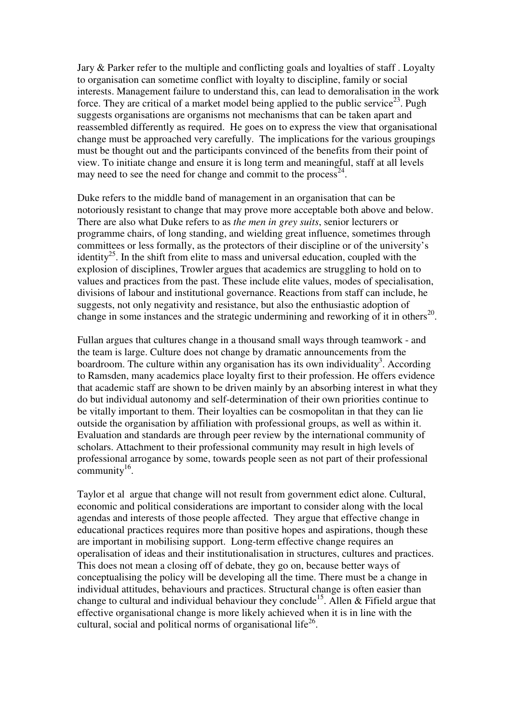Jary & Parker refer to the multiple and conflicting goals and loyalties of staff . Loyalty to organisation can sometime conflict with loyalty to discipline, family or social interests. Management failure to understand this, can lead to demoralisation in the work force. They are critical of a market model being applied to the public service<sup>23</sup>. Pugh suggests organisations are organisms not mechanisms that can be taken apart and reassembled differently as required. He goes on to express the view that organisational change must be approached very carefully. The implications for the various groupings must be thought out and the participants convinced of the benefits from their point of view. To initiate change and ensure it is long term and meaningful, staff at all levels may need to see the need for change and commit to the process<sup>24</sup>.

Duke refers to the middle band of management in an organisation that can be notoriously resistant to change that may prove more acceptable both above and below. There are also what Duke refers to as *the men in grey suits*, senior lecturers or programme chairs, of long standing, and wielding great influence, sometimes through committees or less formally, as the protectors of their discipline or of the university's identity<sup>25</sup>. In the shift from elite to mass and universal education, coupled with the explosion of disciplines, Trowler argues that academics are struggling to hold on to values and practices from the past. These include elite values, modes of specialisation, divisions of labour and institutional governance. Reactions from staff can include, he suggests, not only negativity and resistance, but also the enthusiastic adoption of change in some instances and the strategic undermining and reworking of it in others $^{20}$ .

Fullan argues that cultures change in a thousand small ways through teamwork - and the team is large. Culture does not change by dramatic announcements from the boardroom. The culture within any organisation has its own individuality<sup>3</sup>. According to Ramsden, many academics place loyalty first to their profession. He offers evidence that academic staff are shown to be driven mainly by an absorbing interest in what they do but individual autonomy and self-determination of their own priorities continue to be vitally important to them. Their loyalties can be cosmopolitan in that they can lie outside the organisation by affiliation with professional groups, as well as within it. Evaluation and standards are through peer review by the international community of scholars. Attachment to their professional community may result in high levels of professional arrogance by some, towards people seen as not part of their professional  $\text{community}^{16}$ .

Taylor et al argue that change will not result from government edict alone. Cultural, economic and political considerations are important to consider along with the local agendas and interests of those people affected. They argue that effective change in educational practices requires more than positive hopes and aspirations, though these are important in mobilising support. Long-term effective change requires an operalisation of ideas and their institutionalisation in structures, cultures and practices. This does not mean a closing off of debate, they go on, because better ways of conceptualising the policy will be developing all the time. There must be a change in individual attitudes, behaviours and practices. Structural change is often easier than change to cultural and individual behaviour they conclude<sup>15</sup>. Allen  $\&$  Fifield argue that effective organisational change is more likely achieved when it is in line with the cultural, social and political norms of organisational life $^{26}$ .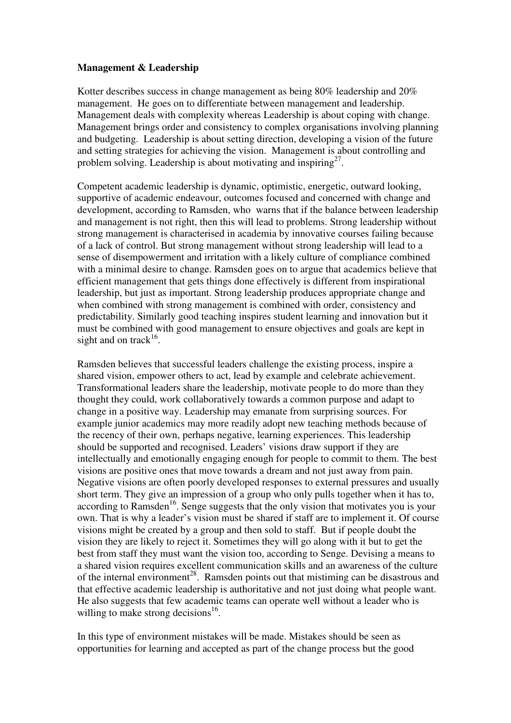### **Management & Leadership**

Kotter describes success in change management as being 80% leadership and 20% management. He goes on to differentiate between management and leadership. Management deals with complexity whereas Leadership is about coping with change. Management brings order and consistency to complex organisations involving planning and budgeting. Leadership is about setting direction, developing a vision of the future and setting strategies for achieving the vision. Management is about controlling and problem solving. Leadership is about motivating and inspiring<sup>27</sup>.

Competent academic leadership is dynamic, optimistic, energetic, outward looking, supportive of academic endeavour, outcomes focused and concerned with change and development, according to Ramsden, who warns that if the balance between leadership and management is not right, then this will lead to problems. Strong leadership without strong management is characterised in academia by innovative courses failing because of a lack of control. But strong management without strong leadership will lead to a sense of disempowerment and irritation with a likely culture of compliance combined with a minimal desire to change. Ramsden goes on to argue that academics believe that efficient management that gets things done effectively is different from inspirational leadership, but just as important. Strong leadership produces appropriate change and when combined with strong management is combined with order, consistency and predictability. Similarly good teaching inspires student learning and innovation but it must be combined with good management to ensure objectives and goals are kept in sight and on track<sup>16</sup>.

Ramsden believes that successful leaders challenge the existing process, inspire a shared vision, empower others to act, lead by example and celebrate achievement. Transformational leaders share the leadership, motivate people to do more than they thought they could, work collaboratively towards a common purpose and adapt to change in a positive way. Leadership may emanate from surprising sources. For example junior academics may more readily adopt new teaching methods because of the recency of their own, perhaps negative, learning experiences. This leadership should be supported and recognised. Leaders' visions draw support if they are intellectually and emotionally engaging enough for people to commit to them. The best visions are positive ones that move towards a dream and not just away from pain. Negative visions are often poorly developed responses to external pressures and usually short term. They give an impression of a group who only pulls together when it has to, according to Ramsden<sup>16</sup>. Senge suggests that the only vision that motivates you is your own. That is why a leader's vision must be shared if staff are to implement it. Of course visions might be created by a group and then sold to staff. But if people doubt the vision they are likely to reject it. Sometimes they will go along with it but to get the best from staff they must want the vision too, according to Senge. Devising a means to a shared vision requires excellent communication skills and an awareness of the culture of the internal environment<sup>28</sup>. Ramsden points out that mistiming can be disastrous and that effective academic leadership is authoritative and not just doing what people want. He also suggests that few academic teams can operate well without a leader who is willing to make strong decisions<sup>16</sup>.

In this type of environment mistakes will be made. Mistakes should be seen as opportunities for learning and accepted as part of the change process but the good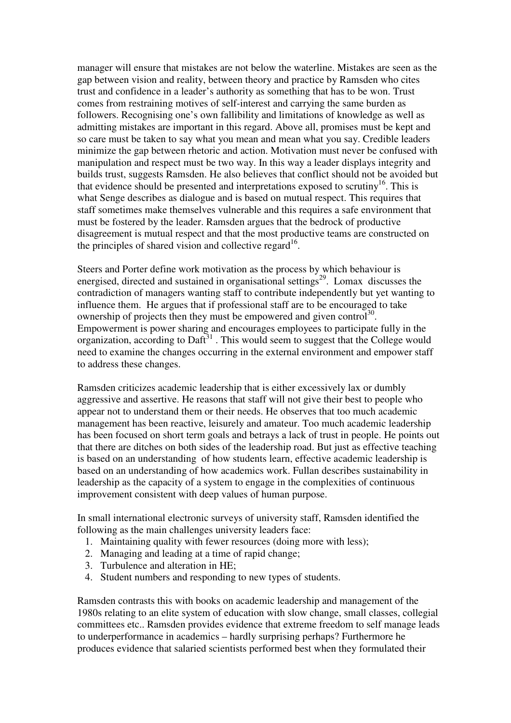manager will ensure that mistakes are not below the waterline. Mistakes are seen as the gap between vision and reality, between theory and practice by Ramsden who cites trust and confidence in a leader's authority as something that has to be won. Trust comes from restraining motives of self-interest and carrying the same burden as followers. Recognising one's own fallibility and limitations of knowledge as well as admitting mistakes are important in this regard. Above all, promises must be kept and so care must be taken to say what you mean and mean what you say. Credible leaders minimize the gap between rhetoric and action. Motivation must never be confused with manipulation and respect must be two way. In this way a leader displays integrity and builds trust, suggests Ramsden. He also believes that conflict should not be avoided but that evidence should be presented and interpretations exposed to scrutiny<sup>16</sup>. This is what Senge describes as dialogue and is based on mutual respect. This requires that staff sometimes make themselves vulnerable and this requires a safe environment that must be fostered by the leader. Ramsden argues that the bedrock of productive disagreement is mutual respect and that the most productive teams are constructed on the principles of shared vision and collective regard<sup>16</sup>.

Steers and Porter define work motivation as the process by which behaviour is energised, directed and sustained in organisational settings<sup>29</sup>. Lomax discusses the contradiction of managers wanting staff to contribute independently but yet wanting to influence them. He argues that if professional staff are to be encouraged to take ownership of projects then they must be empowered and given control<sup>30</sup>. Empowerment is power sharing and encourages employees to participate fully in the organization, according to Daft $31$ . This would seem to suggest that the College would need to examine the changes occurring in the external environment and empower staff to address these changes.

Ramsden criticizes academic leadership that is either excessively lax or dumbly aggressive and assertive. He reasons that staff will not give their best to people who appear not to understand them or their needs. He observes that too much academic management has been reactive, leisurely and amateur. Too much academic leadership has been focused on short term goals and betrays a lack of trust in people. He points out that there are ditches on both sides of the leadership road. But just as effective teaching is based on an understanding of how students learn, effective academic leadership is based on an understanding of how academics work. Fullan describes sustainability in leadership as the capacity of a system to engage in the complexities of continuous improvement consistent with deep values of human purpose.

In small international electronic surveys of university staff, Ramsden identified the following as the main challenges university leaders face:

- 1. Maintaining quality with fewer resources (doing more with less);
- 2. Managing and leading at a time of rapid change;
- 3. Turbulence and alteration in HE;
- 4. Student numbers and responding to new types of students.

Ramsden contrasts this with books on academic leadership and management of the 1980s relating to an elite system of education with slow change, small classes, collegial committees etc.. Ramsden provides evidence that extreme freedom to self manage leads to underperformance in academics – hardly surprising perhaps? Furthermore he produces evidence that salaried scientists performed best when they formulated their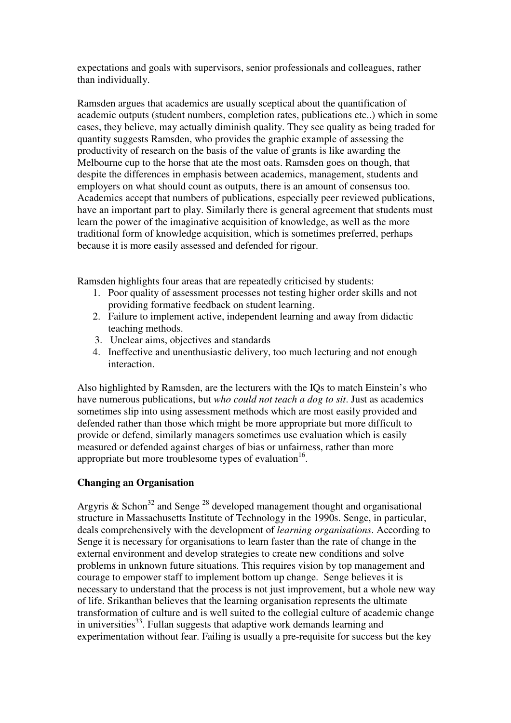expectations and goals with supervisors, senior professionals and colleagues, rather than individually.

Ramsden argues that academics are usually sceptical about the quantification of academic outputs (student numbers, completion rates, publications etc..) which in some cases, they believe, may actually diminish quality. They see quality as being traded for quantity suggests Ramsden, who provides the graphic example of assessing the productivity of research on the basis of the value of grants is like awarding the Melbourne cup to the horse that ate the most oats. Ramsden goes on though, that despite the differences in emphasis between academics, management, students and employers on what should count as outputs, there is an amount of consensus too. Academics accept that numbers of publications, especially peer reviewed publications, have an important part to play. Similarly there is general agreement that students must learn the power of the imaginative acquisition of knowledge, as well as the more traditional form of knowledge acquisition, which is sometimes preferred, perhaps because it is more easily assessed and defended for rigour.

Ramsden highlights four areas that are repeatedly criticised by students:

- 1. Poor quality of assessment processes not testing higher order skills and not providing formative feedback on student learning.
- 2. Failure to implement active, independent learning and away from didactic teaching methods.
- 3. Unclear aims, objectives and standards
- 4. Ineffective and unenthusiastic delivery, too much lecturing and not enough interaction.

Also highlighted by Ramsden, are the lecturers with the IQs to match Einstein's who have numerous publications, but *who could not teach a dog to sit*. Just as academics sometimes slip into using assessment methods which are most easily provided and defended rather than those which might be more appropriate but more difficult to provide or defend, similarly managers sometimes use evaluation which is easily measured or defended against charges of bias or unfairness, rather than more appropriate but more troublesome types of evaluation<sup>16</sup>.

## **Changing an Organisation**

Argyris & Schon<sup>32</sup> and Senge<sup>28</sup> developed management thought and organisational structure in Massachusetts Institute of Technology in the 1990s. Senge, in particular, deals comprehensively with the development of *learning organisations*. According to Senge it is necessary for organisations to learn faster than the rate of change in the external environment and develop strategies to create new conditions and solve problems in unknown future situations. This requires vision by top management and courage to empower staff to implement bottom up change. Senge believes it is necessary to understand that the process is not just improvement, but a whole new way of life. Srikanthan believes that the learning organisation represents the ultimate transformation of culture and is well suited to the collegial culture of academic change in universities<sup>33</sup>. Fullan suggests that adaptive work demands learning and experimentation without fear. Failing is usually a pre-requisite for success but the key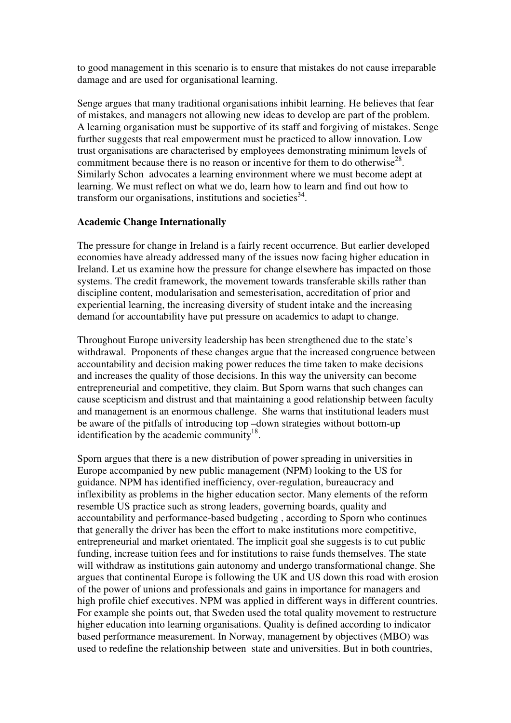to good management in this scenario is to ensure that mistakes do not cause irreparable damage and are used for organisational learning.

Senge argues that many traditional organisations inhibit learning. He believes that fear of mistakes, and managers not allowing new ideas to develop are part of the problem. A learning organisation must be supportive of its staff and forgiving of mistakes. Senge further suggests that real empowerment must be practiced to allow innovation. Low trust organisations are characterised by employees demonstrating minimum levels of commitment because there is no reason or incentive for them to do otherwise<sup>28</sup>. Similarly Schon advocates a learning environment where we must become adept at learning. We must reflect on what we do, learn how to learn and find out how to transform our organisations, institutions and societies  $34$ .

### **Academic Change Internationally**

The pressure for change in Ireland is a fairly recent occurrence. But earlier developed economies have already addressed many of the issues now facing higher education in Ireland. Let us examine how the pressure for change elsewhere has impacted on those systems. The credit framework, the movement towards transferable skills rather than discipline content, modularisation and semesterisation, accreditation of prior and experiential learning, the increasing diversity of student intake and the increasing demand for accountability have put pressure on academics to adapt to change.

Throughout Europe university leadership has been strengthened due to the state's withdrawal. Proponents of these changes argue that the increased congruence between accountability and decision making power reduces the time taken to make decisions and increases the quality of those decisions. In this way the university can become entrepreneurial and competitive, they claim. But Sporn warns that such changes can cause scepticism and distrust and that maintaining a good relationship between faculty and management is an enormous challenge. She warns that institutional leaders must be aware of the pitfalls of introducing top –down strategies without bottom-up identification by the academic community $18$ .

Sporn argues that there is a new distribution of power spreading in universities in Europe accompanied by new public management (NPM) looking to the US for guidance. NPM has identified inefficiency, over-regulation, bureaucracy and inflexibility as problems in the higher education sector. Many elements of the reform resemble US practice such as strong leaders, governing boards, quality and accountability and performance-based budgeting , according to Sporn who continues that generally the driver has been the effort to make institutions more competitive, entrepreneurial and market orientated. The implicit goal she suggests is to cut public funding, increase tuition fees and for institutions to raise funds themselves. The state will withdraw as institutions gain autonomy and undergo transformational change. She argues that continental Europe is following the UK and US down this road with erosion of the power of unions and professionals and gains in importance for managers and high profile chief executives. NPM was applied in different ways in different countries. For example she points out, that Sweden used the total quality movement to restructure higher education into learning organisations. Quality is defined according to indicator based performance measurement. In Norway, management by objectives (MBO) was used to redefine the relationship between state and universities. But in both countries,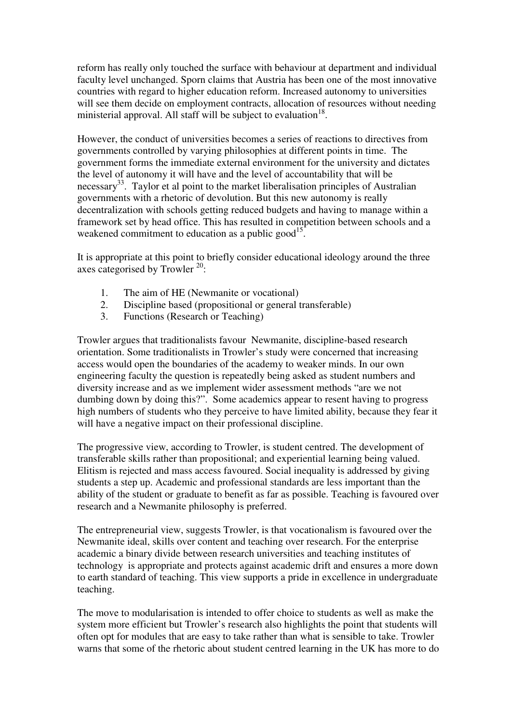reform has really only touched the surface with behaviour at department and individual faculty level unchanged. Sporn claims that Austria has been one of the most innovative countries with regard to higher education reform. Increased autonomy to universities will see them decide on employment contracts, allocation of resources without needing ministerial approval. All staff will be subject to evaluation  $18$ .

However, the conduct of universities becomes a series of reactions to directives from governments controlled by varying philosophies at different points in time. The government forms the immediate external environment for the university and dictates the level of autonomy it will have and the level of accountability that will be necessary<sup>33</sup>. Taylor et al point to the market liberalisation principles of Australian governments with a rhetoric of devolution. But this new autonomy is really decentralization with schools getting reduced budgets and having to manage within a framework set by head office. This has resulted in competition between schools and a weakened commitment to education as a public good<sup>15</sup>.

It is appropriate at this point to briefly consider educational ideology around the three axes categorised by Trowler  $20$ :

- 1. The aim of HE (Newmanite or vocational)
- 2. Discipline based (propositional or general transferable)
- 3. Functions (Research or Teaching)

Trowler argues that traditionalists favour Newmanite, discipline-based research orientation. Some traditionalists in Trowler's study were concerned that increasing access would open the boundaries of the academy to weaker minds. In our own engineering faculty the question is repeatedly being asked as student numbers and diversity increase and as we implement wider assessment methods "are we not dumbing down by doing this?". Some academics appear to resent having to progress high numbers of students who they perceive to have limited ability, because they fear it will have a negative impact on their professional discipline.

The progressive view, according to Trowler, is student centred. The development of transferable skills rather than propositional; and experiential learning being valued. Elitism is rejected and mass access favoured. Social inequality is addressed by giving students a step up. Academic and professional standards are less important than the ability of the student or graduate to benefit as far as possible. Teaching is favoured over research and a Newmanite philosophy is preferred.

The entrepreneurial view, suggests Trowler, is that vocationalism is favoured over the Newmanite ideal, skills over content and teaching over research. For the enterprise academic a binary divide between research universities and teaching institutes of technology is appropriate and protects against academic drift and ensures a more down to earth standard of teaching. This view supports a pride in excellence in undergraduate teaching.

The move to modularisation is intended to offer choice to students as well as make the system more efficient but Trowler's research also highlights the point that students will often opt for modules that are easy to take rather than what is sensible to take. Trowler warns that some of the rhetoric about student centred learning in the UK has more to do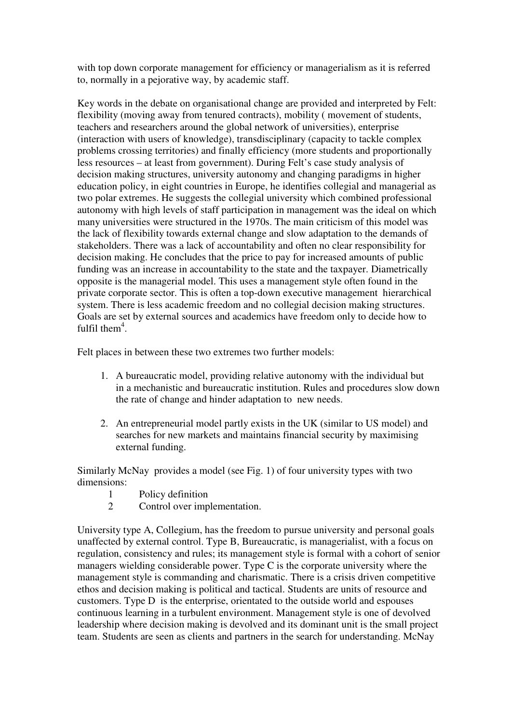with top down corporate management for efficiency or managerialism as it is referred to, normally in a pejorative way, by academic staff.

Key words in the debate on organisational change are provided and interpreted by Felt: flexibility (moving away from tenured contracts), mobility ( movement of students, teachers and researchers around the global network of universities), enterprise (interaction with users of knowledge), transdisciplinary (capacity to tackle complex problems crossing territories) and finally efficiency (more students and proportionally less resources – at least from government). During Felt's case study analysis of decision making structures, university autonomy and changing paradigms in higher education policy, in eight countries in Europe, he identifies collegial and managerial as two polar extremes. He suggests the collegial university which combined professional autonomy with high levels of staff participation in management was the ideal on which many universities were structured in the 1970s. The main criticism of this model was the lack of flexibility towards external change and slow adaptation to the demands of stakeholders. There was a lack of accountability and often no clear responsibility for decision making. He concludes that the price to pay for increased amounts of public funding was an increase in accountability to the state and the taxpayer. Diametrically opposite is the managerial model. This uses a management style often found in the private corporate sector. This is often a top-down executive management hierarchical system. There is less academic freedom and no collegial decision making structures. Goals are set by external sources and academics have freedom only to decide how to fulfil them $4$ .

Felt places in between these two extremes two further models:

- 1. A bureaucratic model, providing relative autonomy with the individual but in a mechanistic and bureaucratic institution. Rules and procedures slow down the rate of change and hinder adaptation to new needs.
- 2. An entrepreneurial model partly exists in the UK (similar to US model) and searches for new markets and maintains financial security by maximising external funding.

Similarly McNay provides a model (see Fig. 1) of four university types with two dimensions:

- 1 Policy definition<br>2 Control over imp
- Control over implementation.

University type A, Collegium, has the freedom to pursue university and personal goals unaffected by external control. Type B, Bureaucratic, is managerialist, with a focus on regulation, consistency and rules; its management style is formal with a cohort of senior managers wielding considerable power. Type C is the corporate university where the management style is commanding and charismatic. There is a crisis driven competitive ethos and decision making is political and tactical. Students are units of resource and customers. Type D is the enterprise, orientated to the outside world and espouses continuous learning in a turbulent environment. Management style is one of devolved leadership where decision making is devolved and its dominant unit is the small project team. Students are seen as clients and partners in the search for understanding. McNay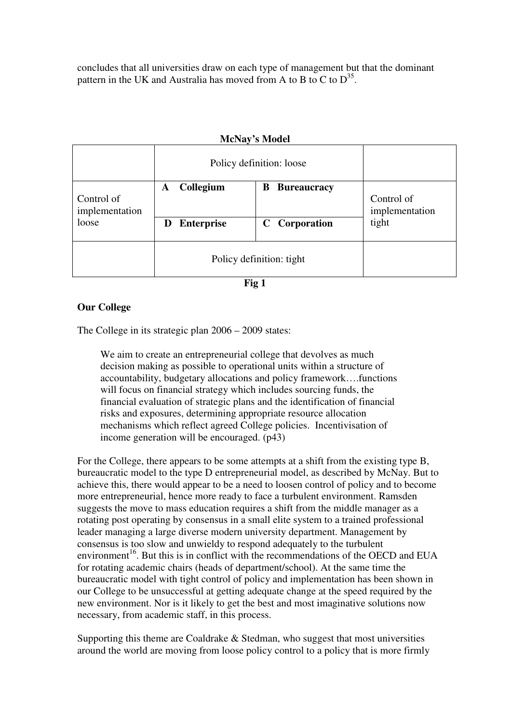concludes that all universities draw on each type of management but that the dominant pattern in the UK and Australia has moved from A to B to C to  $D^{35}$ .

## Policy definition: loose **A** Collegium B Bureaucracy Control of implementation loose **D** Enterprise C Corporation Control of implementation tight Policy definition: tight

#### **McNay's Model**

**Fig 1** 

## **Our College**

The College in its strategic plan 2006 – 2009 states:

We aim to create an entrepreneurial college that devolves as much decision making as possible to operational units within a structure of accountability, budgetary allocations and policy framework….functions will focus on financial strategy which includes sourcing funds, the financial evaluation of strategic plans and the identification of financial risks and exposures, determining appropriate resource allocation mechanisms which reflect agreed College policies. Incentivisation of income generation will be encouraged. (p43)

For the College, there appears to be some attempts at a shift from the existing type B, bureaucratic model to the type D entrepreneurial model, as described by McNay. But to achieve this, there would appear to be a need to loosen control of policy and to become more entrepreneurial, hence more ready to face a turbulent environment. Ramsden suggests the move to mass education requires a shift from the middle manager as a rotating post operating by consensus in a small elite system to a trained professional leader managing a large diverse modern university department. Management by consensus is too slow and unwieldy to respond adequately to the turbulent environment<sup>16</sup>. But this is in conflict with the recommendations of the OECD and EUA for rotating academic chairs (heads of department/school). At the same time the bureaucratic model with tight control of policy and implementation has been shown in our College to be unsuccessful at getting adequate change at the speed required by the new environment. Nor is it likely to get the best and most imaginative solutions now necessary, from academic staff, in this process.

Supporting this theme are Coaldrake  $\&$  Stedman, who suggest that most universities around the world are moving from loose policy control to a policy that is more firmly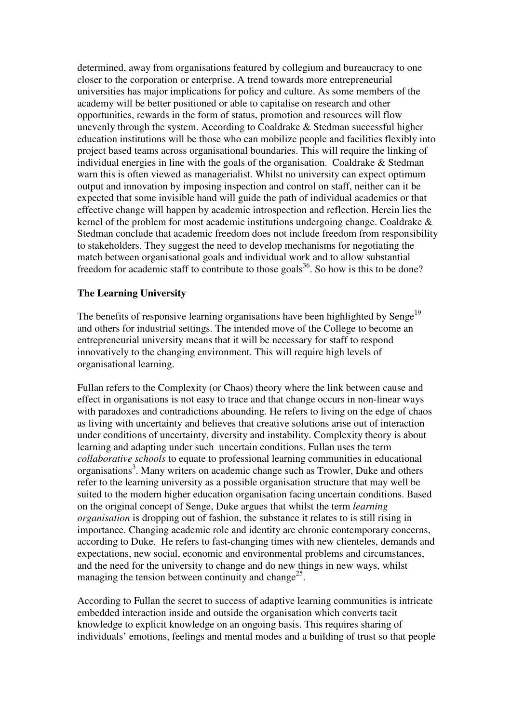determined, away from organisations featured by collegium and bureaucracy to one closer to the corporation or enterprise. A trend towards more entrepreneurial universities has major implications for policy and culture. As some members of the academy will be better positioned or able to capitalise on research and other opportunities, rewards in the form of status, promotion and resources will flow unevenly through the system. According to Coaldrake & Stedman successful higher education institutions will be those who can mobilize people and facilities flexibly into project based teams across organisational boundaries. This will require the linking of individual energies in line with the goals of the organisation. Coaldrake & Stedman warn this is often viewed as managerialist. Whilst no university can expect optimum output and innovation by imposing inspection and control on staff, neither can it be expected that some invisible hand will guide the path of individual academics or that effective change will happen by academic introspection and reflection. Herein lies the kernel of the problem for most academic institutions undergoing change. Coaldrake & Stedman conclude that academic freedom does not include freedom from responsibility to stakeholders. They suggest the need to develop mechanisms for negotiating the match between organisational goals and individual work and to allow substantial freedom for academic staff to contribute to those goals<sup>36</sup>. So how is this to be done?

### **The Learning University**

The benefits of responsive learning organisations have been highlighted by Senge<sup>19</sup> and others for industrial settings. The intended move of the College to become an entrepreneurial university means that it will be necessary for staff to respond innovatively to the changing environment. This will require high levels of organisational learning.

Fullan refers to the Complexity (or Chaos) theory where the link between cause and effect in organisations is not easy to trace and that change occurs in non-linear ways with paradoxes and contradictions abounding. He refers to living on the edge of chaos as living with uncertainty and believes that creative solutions arise out of interaction under conditions of uncertainty, diversity and instability. Complexity theory is about learning and adapting under such uncertain conditions. Fullan uses the term *collaborative schools* to equate to professional learning communities in educational organisations<sup>3</sup>. Many writers on academic change such as Trowler, Duke and others refer to the learning university as a possible organisation structure that may well be suited to the modern higher education organisation facing uncertain conditions. Based on the original concept of Senge, Duke argues that whilst the term *learning organisation* is dropping out of fashion, the substance it relates to is still rising in importance. Changing academic role and identity are chronic contemporary concerns, according to Duke. He refers to fast-changing times with new clienteles, demands and expectations, new social, economic and environmental problems and circumstances, and the need for the university to change and do new things in new ways, whilst managing the tension between continuity and change<sup>25</sup>.

According to Fullan the secret to success of adaptive learning communities is intricate embedded interaction inside and outside the organisation which converts tacit knowledge to explicit knowledge on an ongoing basis. This requires sharing of individuals' emotions, feelings and mental modes and a building of trust so that people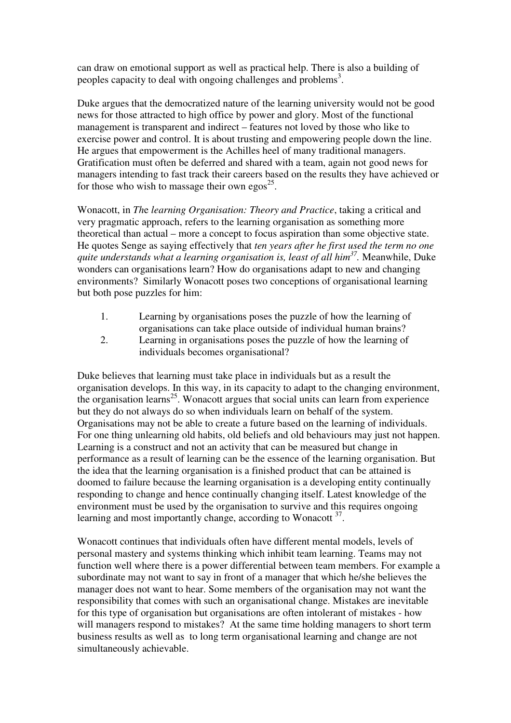can draw on emotional support as well as practical help. There is also a building of peoples capacity to deal with ongoing challenges and problems<sup>3</sup>.

Duke argues that the democratized nature of the learning university would not be good news for those attracted to high office by power and glory. Most of the functional management is transparent and indirect – features not loved by those who like to exercise power and control. It is about trusting and empowering people down the line. He argues that empowerment is the Achilles heel of many traditional managers. Gratification must often be deferred and shared with a team, again not good news for managers intending to fast track their careers based on the results they have achieved or for those who wish to massage their own egos<sup>25</sup>.

Wonacott, in *Th*e *learning Organisation: Theory and Practice*, taking a critical and very pragmatic approach, refers to the learning organisation as something more theoretical than actual – more a concept to focus aspiration than some objective state. He quotes Senge as saying effectively that *ten years after he first used the term no one quite understands what a learning organisation is, least of all him<sup>37</sup> .* Meanwhile, Duke wonders can organisations learn? How do organisations adapt to new and changing environments? Similarly Wonacott poses two conceptions of organisational learning but both pose puzzles for him:

- 1. Learning by organisations poses the puzzle of how the learning of organisations can take place outside of individual human brains?
- 2. Learning in organisations poses the puzzle of how the learning of individuals becomes organisational?

Duke believes that learning must take place in individuals but as a result the organisation develops. In this way, in its capacity to adapt to the changing environment, the organisation learns<sup>25</sup>. Wonacott argues that social units can learn from experience but they do not always do so when individuals learn on behalf of the system. Organisations may not be able to create a future based on the learning of individuals. For one thing unlearning old habits, old beliefs and old behaviours may just not happen. Learning is a construct and not an activity that can be measured but change in performance as a result of learning can be the essence of the learning organisation. But the idea that the learning organisation is a finished product that can be attained is doomed to failure because the learning organisation is a developing entity continually responding to change and hence continually changing itself. Latest knowledge of the environment must be used by the organisation to survive and this requires ongoing learning and most importantly change, according to Wonacott<sup>37</sup>.

Wonacott continues that individuals often have different mental models, levels of personal mastery and systems thinking which inhibit team learning. Teams may not function well where there is a power differential between team members. For example a subordinate may not want to say in front of a manager that which he/she believes the manager does not want to hear. Some members of the organisation may not want the responsibility that comes with such an organisational change. Mistakes are inevitable for this type of organisation but organisations are often intolerant of mistakes - how will managers respond to mistakes? At the same time holding managers to short term business results as well as to long term organisational learning and change are not simultaneously achievable.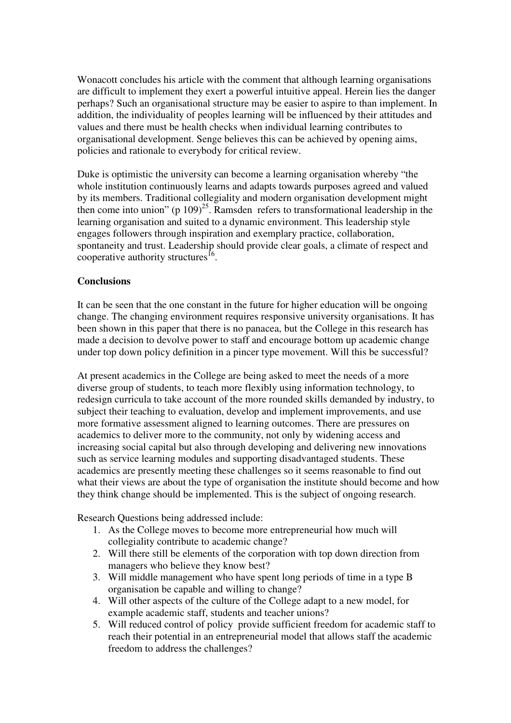Wonacott concludes his article with the comment that although learning organisations are difficult to implement they exert a powerful intuitive appeal. Herein lies the danger perhaps? Such an organisational structure may be easier to aspire to than implement. In addition, the individuality of peoples learning will be influenced by their attitudes and values and there must be health checks when individual learning contributes to organisational development. Senge believes this can be achieved by opening aims, policies and rationale to everybody for critical review.

Duke is optimistic the university can become a learning organisation whereby "the whole institution continuously learns and adapts towards purposes agreed and valued by its members. Traditional collegiality and modern organisation development might then come into union" (p  $109$ )<sup>25</sup>. Ramsden refers to transformational leadership in the learning organisation and suited to a dynamic environment. This leadership style engages followers through inspiration and exemplary practice, collaboration, spontaneity and trust. Leadership should provide clear goals, a climate of respect and cooperative authority structures<sup>16</sup>.

### **Conclusions**

It can be seen that the one constant in the future for higher education will be ongoing change. The changing environment requires responsive university organisations. It has been shown in this paper that there is no panacea, but the College in this research has made a decision to devolve power to staff and encourage bottom up academic change under top down policy definition in a pincer type movement. Will this be successful?

At present academics in the College are being asked to meet the needs of a more diverse group of students, to teach more flexibly using information technology, to redesign curricula to take account of the more rounded skills demanded by industry, to subject their teaching to evaluation, develop and implement improvements, and use more formative assessment aligned to learning outcomes. There are pressures on academics to deliver more to the community, not only by widening access and increasing social capital but also through developing and delivering new innovations such as service learning modules and supporting disadvantaged students. These academics are presently meeting these challenges so it seems reasonable to find out what their views are about the type of organisation the institute should become and how they think change should be implemented. This is the subject of ongoing research.

Research Questions being addressed include:

- 1. As the College moves to become more entrepreneurial how much will collegiality contribute to academic change?
- 2. Will there still be elements of the corporation with top down direction from managers who believe they know best?
- 3. Will middle management who have spent long periods of time in a type B organisation be capable and willing to change?
- 4. Will other aspects of the culture of the College adapt to a new model, for example academic staff, students and teacher unions?
- 5. Will reduced control of policy provide sufficient freedom for academic staff to reach their potential in an entrepreneurial model that allows staff the academic freedom to address the challenges?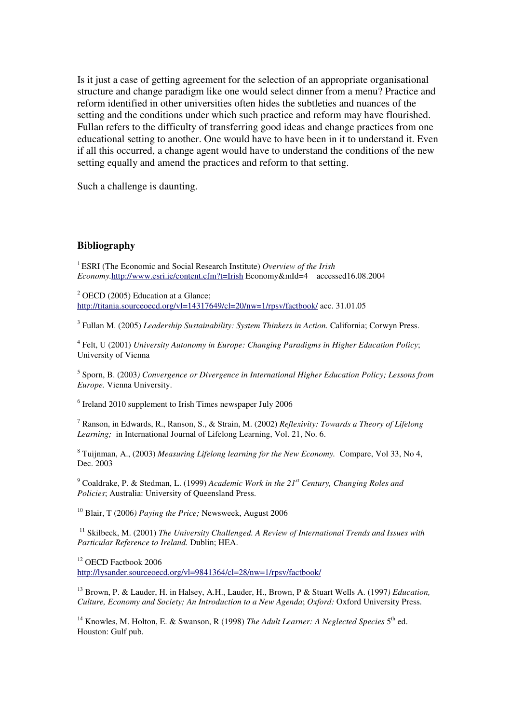Is it just a case of getting agreement for the selection of an appropriate organisational structure and change paradigm like one would select dinner from a menu? Practice and reform identified in other universities often hides the subtleties and nuances of the setting and the conditions under which such practice and reform may have flourished. Fullan refers to the difficulty of transferring good ideas and change practices from one educational setting to another. One would have to have been in it to understand it. Even if all this occurred, a change agent would have to understand the conditions of the new setting equally and amend the practices and reform to that setting.

Such a challenge is daunting.

#### **Bibliography**

<sup>1</sup>ESRI (The Economic and Social Research Institute) *Overview of the Irish Economy.*<http://www.esri.ie/content.cfm?t=Irish>Economy&mId=4 accessed16.08.2004

 $<sup>2</sup>$  OECD (2005) Education at a Glance;</sup> <http://titania.sourceoecd.org/vl=14317649/cl=20/nw=1/rpsv/factbook/>acc. 31.01.05

3 Fullan M. (2005) *Leadership Sustainability: System Thinkers in Action.* California; Corwyn Press.

4 Felt, U (2001) *University Autonomy in Europe: Changing Paradigms in Higher Education Policy*; University of Vienna

5 Sporn, B. (2003*) Convergence or Divergence in International Higher Education Policy; Lessons from Europe.* Vienna University.

<sup>6</sup> Ireland 2010 supplement to Irish Times newspaper July 2006

7 Ranson, in Edwards, R., Ranson, S., & Strain, M. (2002) *Reflexivity: Towards a Theory of Lifelong Learning;* in International Journal of Lifelong Learning, Vol. 21, No. 6.

8 Tuijnman, A., (2003) *Measuring Lifelong learning for the New Economy.* Compare, Vol 33, No 4, Dec. 2003

9 Coaldrake, P. & Stedman, L. (1999) *Academic Work in the 21st Century, Changing Roles and Policies*; Australia: University of Queensland Press.

<sup>10</sup> Blair, T (2006*) Paying the Price;* Newsweek, August 2006

<sup>11</sup> Skilbeck, M. (2001) *The University Challenged. A Review of International Trends and Issues with Particular Reference to Ireland.* Dublin; HEA.

<sup>12</sup> OECD Factbook 2006

<http://lysander.sourceoecd.org/vl=9841364/cl=28/nw=1/rpsv/factbook/>

<sup>13</sup> Brown, P. & Lauder, H. in Halsey, A.H., Lauder, H., Brown, P & Stuart Wells A. (1997*) Education, Culture, Economy and Society; An Introduction to a New Agenda*; *Oxford:* Oxford University Press.

<sup>14</sup> Knowles, M. Holton, E. & Swanson, R (1998) The Adult Learner: A Neglected Species 5<sup>th</sup> ed. Houston: Gulf pub.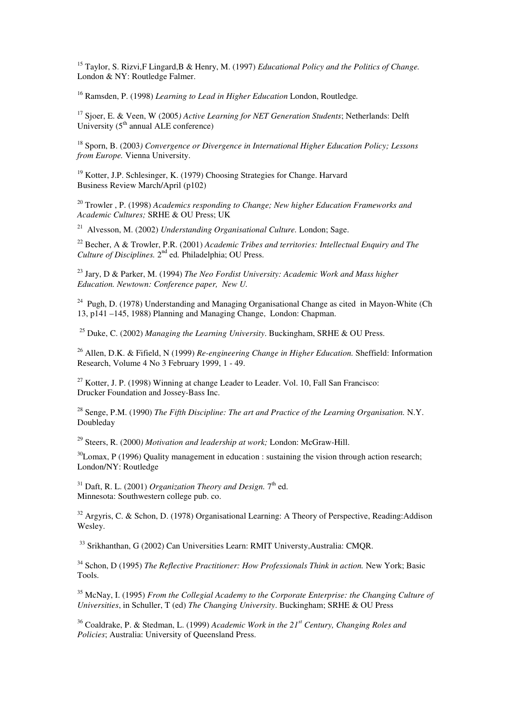<sup>15</sup> Taylor, S. Rizvi,F Lingard,B & Henry, M. (1997) *Educational Policy and the Politics of Change.*  London & NY: Routledge Falmer.

<sup>16</sup> Ramsden, P. (1998) *Learning to Lead in Higher Education* London, Routledge*.* 

<sup>17</sup> Sjoer, E. & Veen, W (2005*) Active Learning for NET Generation Students*; Netherlands: Delft University  $(5<sup>th</sup>$  annual ALE conference)

<sup>18</sup> Sporn, B. (2003*) Convergence or Divergence in International Higher Education Policy; Lessons from Europe.* Vienna University.

<sup>19</sup> Kotter, J.P. Schlesinger, K. (1979) Choosing Strategies for Change. Harvard Business Review March/April (p102)

<sup>20</sup> Trowler , P. (1998) *Academics responding to Change; New higher Education Frameworks and Academic Cultures;* SRHE & OU Press; UK

<sup>21</sup> Alvesson, M. (2002) *Understanding Organisational Culture.* London; Sage.

<sup>22</sup> Becher, A & Trowler, P.R. (2001) *Academic Tribes and territories: Intellectual Enquiry and The*  Culture of Disciplines. 2<sup>nd</sup> ed. Philadelphia; OU Press.

<sup>23</sup> Jary, D & Parker, M. (1994) *The Neo Fordist University: Academic Work and Mass higher Education. Newtown: Conference paper, New U.* 

<sup>24</sup> Pugh, D. (1978) Understanding and Managing Organisational Change as cited in Mayon-White (Ch 13, p141 –145, 1988) Planning and Managing Change, London: Chapman.

<sup>25</sup> Duke, C. (2002) *Managing the Learning University*. Buckingham, SRHE & OU Press.

<sup>26</sup> Allen, D.K. & Fifield, N (1999) *Re-engineering Change in Higher Education.* Sheffield: Information Research, Volume 4 No 3 February 1999, 1 - 49.

 $27$  Kotter, J. P. (1998) Winning at change Leader to Leader. Vol. 10, Fall San Francisco: Drucker Foundation and Jossey-Bass Inc.

<sup>28</sup> Senge, P.M. (1990) *The Fifth Discipline: The art and Practice of the Learning Organisation.* N.Y. Doubleday

<sup>29</sup> Steers, R. (2000*) Motivation and leadership at work;* London: McGraw-Hill.

 $30$ Lomax, P (1996) Quality management in education : sustaining the vision through action research; London/NY: Routledge

<sup>31</sup> Daft, R. L. (2001) *Organization Theory and Design.* 7<sup>th</sup> ed. Minnesota: Southwestern college pub. co.

 $32$  Argyris, C. & Schon, D. (1978) Organisational Learning: A Theory of Perspective, Reading: Addison Wesley.

<sup>33</sup> Srikhanthan, G (2002) Can Universities Learn: RMIT Universty, Australia: CMQR.

<sup>34</sup> Schon, D (1995) *The Reflective Practitioner: How Professionals Think in action.* New York; Basic Tools.

<sup>35</sup> McNay, I. (1995) *From the Collegial Academy to the Corporate Enterprise: the Changing Culture of Universities*, in Schuller, T (ed) *The Changing University*. Buckingham; SRHE & OU Press

<sup>36</sup> Coaldrake, P. & Stedman, L. (1999) *Academic Work in the 21st Century, Changing Roles and Policies*; Australia: University of Queensland Press.